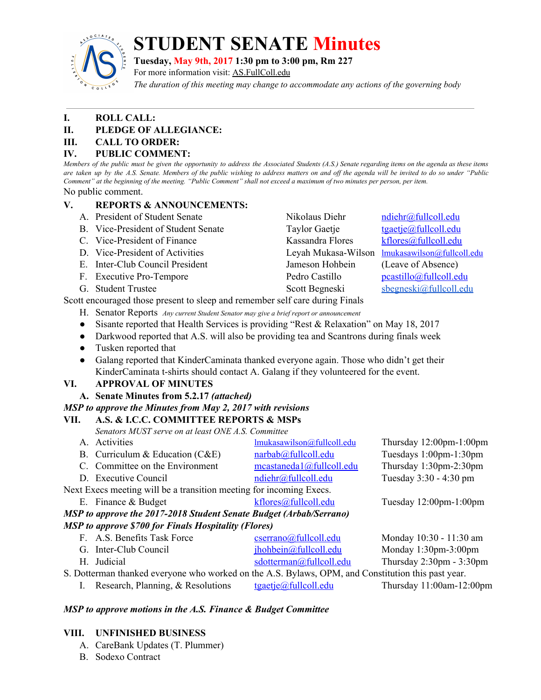

# **STUDENT SENATE Minutes**

**Tuesday, May 9th, 2017 1:30 pm to 3:00 pm, Rm 227**

For more information visit: AS.FullColl.edu

*The duration of this meeting may change to accommodate any actions of the governing body*

# **I. ROLL CALL:**

# **II. PLEDGE OF ALLEGIANCE:**

**III. CALL TO ORDER:**

# **IV. PUBLIC COMMENT:**

Members of the public must be given the opportunity to address the Associated Students (A.S.) Senate regarding items on the agenda as these items are taken up by the A.S. Senate. Members of the public wishing to address matters on and off the agenda will be invited to do so under "Public Comment" at the beginning of the meeting. "Public Comment" shall not exceed a maximum of two minutes per person, per item. No public comment.

# **V. REPORTS & ANNOUNCEMENTS:**

- A. President of Student Senate Nikolaus Diehr [ndiehr@fullcoll.edu](mailto:ndiehr@fullcoll.edu)
- B. Vice-President of Student Senate Taylor Gaetje [tgaetje@fullcoll.edu](mailto:tgaetje@fullcoll.edu)
- C. Vice-President of Finance Kassandra Flores [kflores@fullcoll.edu](mailto:kflores@fullcoll.edu)
- D. Vice-President of Activities Leyah Mukasa-Wilson [lmukasawilson@fullcoll.edu](mailto:lmukasawilson@fullcoll.edu)
- E. Inter-Club Council President Jameson Hohbein (Leave of Absence)
- F. Executive Pro-Tempore Pedro Castillo Pedro Castillo Pedro Castillo Pedro Castillo Pedro Castillo Pedro Castillo Pedro Castillo Pedro Castillo Pedro Castillo Pedro Castillo Pedro Castillo Pedro Castillo Pedro Castillo Pe
- 

G. Student Trustee Scott Begneski [sbegneski@fullcoll.edu](mailto:sbegneski@fullcoll.edu)

Scott encouraged those present to sleep and remember self care during Finals

- H. Senator Reports *Any current Student Senator may give a brief report or announcement*
- Sisante reported that Health Services is providing "Rest & Relaxation" on May 18, 2017
- Darkwood reported that A.S. will also be providing tea and Scantrons during finals week
- Tusken reported that
- Galang reported that KinderCaminata thanked everyone again. Those who didn't get their KinderCaminata t-shirts should contact A. Galang if they volunteered for the event.

# **VI. APPROVAL OF MINUTES**

**A. Senate Minutes from 5.2.17** *(attached)*

# *MSP to approve the Minutes from May 2, 2017 with revisions*

| VII.                                                                | A.S. & I.C.C. COMMITTEE REPORTS & MSPs             |                            |                                |
|---------------------------------------------------------------------|----------------------------------------------------|----------------------------|--------------------------------|
|                                                                     | Senators MUST serve on at least ONE A.S. Committee |                            |                                |
|                                                                     | A. Activities                                      | lmukasawilson@fullcoll.edu | Thursday $12:00$ pm- $1:00$ pm |
|                                                                     | B. Curriculum & Education $(CAE)$                  | narbab@fullcoll.edu        | Tuesdays 1:00pm-1:30pm         |
|                                                                     | C. Committee on the Environment                    | mcastaneda1@fullcoll.edu   | Thursday 1:30pm-2:30pm         |
|                                                                     | D. Executive Council                               | ndiehr@fullcoll.edu        | Tuesday 3:30 - 4:30 pm         |
| Next Execs meeting will be a transition meeting for incoming Execs. |                                                    |                            |                                |
|                                                                     | E. Finance $&$ Budget                              | kflores@fullcoll.edu       | Tuesday $12:00$ pm- $1:00$ pm  |
| MSP to approve the 2017-2018 Student Senate Budget (Arbab/Serrano)  |                                                    |                            |                                |
| MSP to approve \$700 for Finals Hospitality (Flores)                |                                                    |                            |                                |
|                                                                     | F. A.S. Benefits Task Force                        | cserrano@fullcoll.edu      | Monday 10:30 - 11:30 am        |
|                                                                     |                                                    |                            |                                |

G. Inter-Club Council [jhohbein@fullcoll.edu](mailto:jhohbein@fullcoll.edu) Monday 1:30pm-3:00pm H. Judicial [sdotterman@fullcoll.edu](mailto:sdotterman@fullcoll.edu) Thursday 2:30pm - 3:30pm S. Dotterman thanked everyone who worked on the A.S. Bylaws, OPM, and Constitution this past year. I. Research, Planning, & Resolutions [tgaetje@fullcoll.edu](mailto:tgaetje@fullcoll.edu) Thursday 11:00am-12:00pm

# *MSP to approve motions in the A.S. Finance & Budget Committee*

# **VIII. UNFINISHED BUSINESS**

- A. CareBank Updates (T. Plummer)
- B. Sodexo Contract